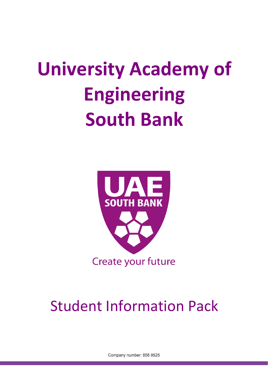

## Student Information Pack

Company number: 858 9525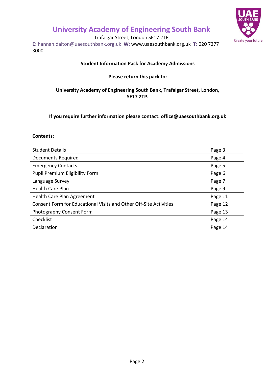

Trafalgar Street, London SE17 2TP

**E:** hannah.dalton@uaesouthbank.org.uk **W:** [www.uaesouthbank.org.uk](http://www.uaesouthbank.org.uk/) **T:** 020 7277 3000

#### **Student Information Pack for Academy Admissions**

#### **Please return this pack to:**

#### **University Academy of Engineering South Bank, Trafalgar Street, London, SE17 2TP.**

**If you require further information please contact: office@uaesouthbank.org.uk**

#### **Contents:**

| <b>Student Details</b>                                            | Page 3  |
|-------------------------------------------------------------------|---------|
| <b>Documents Required</b>                                         | Page 4  |
| <b>Emergency Contacts</b>                                         | Page 5  |
| Pupil Premium Eligibility Form                                    | Page 6  |
| Language Survey                                                   | Page 7  |
| <b>Health Care Plan</b>                                           | Page 9  |
| Health Care Plan Agreement                                        | Page 11 |
| Consent Form for Educational Visits and Other Off-Site Activities | Page 12 |
| Photography Consent Form                                          | Page 13 |
| Checklist                                                         | Page 14 |
| Declaration                                                       | Page 14 |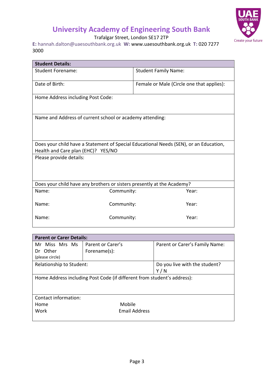

Trafalgar Street, London SE17 2TP

**E:** hannah.dalton@uaesouthbank.org.uk **W:** [www.uaesouthbank.org.uk](http://www.uaesouthbank.org.uk/) **T:** 020 7277 3000

| <b>Student Details:</b>                                                                                                     |                                           |  |
|-----------------------------------------------------------------------------------------------------------------------------|-------------------------------------------|--|
| <b>Student Forename:</b>                                                                                                    | <b>Student Family Name:</b>               |  |
| Date of Birth:                                                                                                              | Female or Male (Circle one that applies): |  |
| Home Address including Post Code:                                                                                           |                                           |  |
| Name and Address of current school or academy attending:                                                                    |                                           |  |
| Does your child have a Statement of Special Educational Needs (SEN), or an Education,<br>Health and Care plan (EHC)? YES/NO |                                           |  |
| Please provide details:                                                                                                     |                                           |  |
| Does your child have any brothers or sisters presently at the Academy?                                                      |                                           |  |
| Name:                                                                                                                       | Year:<br>Community:                       |  |
| Name:                                                                                                                       | Year:<br>Community:                       |  |
| Name:                                                                                                                       | Community:<br>Year:                       |  |

| <b>Parent or Carer Details:</b>                                         |                      |                                |
|-------------------------------------------------------------------------|----------------------|--------------------------------|
| Mr Miss Mrs Ms                                                          | Parent or Carer's    | Parent or Carer's Family Name: |
| Other<br>Dr                                                             | Forename(s):         |                                |
| (please circle)                                                         |                      |                                |
| Relationship to Student:                                                |                      | Do you live with the student?  |
| Y/N                                                                     |                      |                                |
| Home Address including Post Code (if different from student's address): |                      |                                |
|                                                                         |                      |                                |
|                                                                         |                      |                                |
| Contact information:                                                    |                      |                                |
| Home                                                                    | Mobile               |                                |
| Work                                                                    | <b>Email Address</b> |                                |
|                                                                         |                      |                                |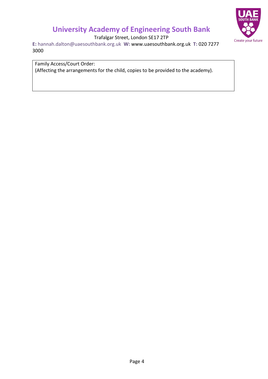

Trafalgar Street, London SE17 2TP

**E:** hannah.dalton@uaesouthbank.org.uk **W:** [www.uaesouthbank.org.uk](http://www.uaesouthbank.org.uk/) **T:** 020 7277 3000

Family Access/Court Order:

(Affecting the arrangements for the child, copies to be provided to the academy).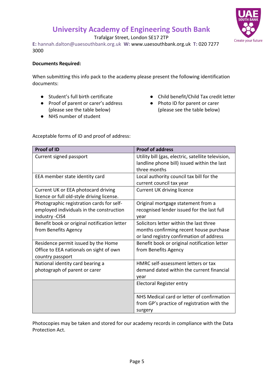Trafalgar Street, London SE17 2TP

**E:** hannah.dalton@uaesouthbank.org.uk **W:** [www.uaesouthbank.org.uk](http://www.uaesouthbank.org.uk/) **T:** 020 7277 3000

#### **Documents Required:**

When submitting this info pack to the academy please present the following identification documents:

- Student's full birth certificate
- Proof of parent or carer's address (please see the table below)
- NHS number of student
- Child benefit/Child Tax credit letter
- Photo ID for parent or carer (please see the table below)

Acceptable forms of ID and proof of address:

| <b>Proof of ID</b>                                                                                       | <b>Proof of address</b>                                                                                                        |
|----------------------------------------------------------------------------------------------------------|--------------------------------------------------------------------------------------------------------------------------------|
| Current signed passport                                                                                  | Utility bill (gas, electric, satellite television,<br>landline phone bill) issued within the last<br>three months              |
| EEA member state identity card                                                                           | Local authority council tax bill for the<br>current council tax year                                                           |
| Current UK or EEA photocard driving<br>licence or full old-style driving license.                        | <b>Current UK driving licence</b>                                                                                              |
| Photographic registration cards for self-<br>employed individuals in the construction<br>industry - CIS4 | Original mortgage statement from a<br>recognised lender issued for the last full<br>year                                       |
| Benefit book or original notification letter<br>from Benefits Agency                                     | Solicitors letter within the last three<br>months confirming recent house purchase<br>or land registry confirmation of address |
| Residence permit issued by the Home<br>Office to EEA nationals on sight of own<br>country passport       | Benefit book or original notification letter<br>from Benefits Agency                                                           |
| National identity card bearing a<br>photograph of parent or carer                                        | HMRC self-assessment letters or tax<br>demand dated within the current financial<br>year                                       |
|                                                                                                          | Electoral Register entry                                                                                                       |
|                                                                                                          | NHS Medical card or letter of confirmation<br>from GP's practice of registration with the<br>surgery                           |

Photocopies may be taken and stored for our academy records in compliance with the Data Protection Act.

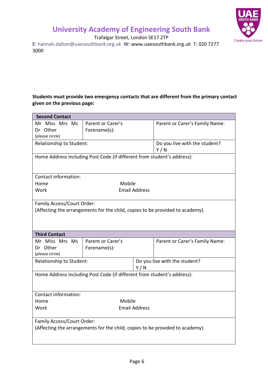

Trafalgar Street, London SE17 2TP

**E:** hannah.dalton@uaesouthbank.org.uk **W:** [www.uaesouthbank.org.uk](http://www.uaesouthbank.org.uk/) **T:** 020 7277 3000

#### **Students must provide two emergency contacts that are different from the primary contact given on the previous page:**

| <b>Second Contact</b>                                                   |                   |                                                                               |  |
|-------------------------------------------------------------------------|-------------------|-------------------------------------------------------------------------------|--|
| Mr Miss Mrs Ms                                                          | Parent or Carer's | Parent or Carer's Family Name:                                                |  |
| Dr Other                                                                | Forename(s):      |                                                                               |  |
| (please circle)                                                         |                   |                                                                               |  |
| Relationship to Student:                                                |                   | Do you live with the student?<br>Y/N                                          |  |
|                                                                         |                   | Home Address including Post Code (if different from student's address):       |  |
|                                                                         |                   |                                                                               |  |
| Contact information:                                                    |                   |                                                                               |  |
| Home                                                                    | Mobile            |                                                                               |  |
| Work                                                                    |                   | <b>Email Address</b>                                                          |  |
| Family Access/Court Order:                                              |                   |                                                                               |  |
|                                                                         |                   | (Affecting the arrangements for the child, copies to be provided to academy). |  |
|                                                                         |                   |                                                                               |  |
|                                                                         |                   |                                                                               |  |
| <b>Third Contact</b>                                                    |                   |                                                                               |  |
| Mr Miss Mrs Ms                                                          | Parent or Carer's | Parent or Carer's Family Name:                                                |  |
| Dr Other                                                                | Forename(s):      |                                                                               |  |
| (please circle)                                                         |                   |                                                                               |  |
| Relationship to Student:<br>Do you live with the student?               |                   |                                                                               |  |
|                                                                         |                   | Y/N                                                                           |  |
| Home Address including Post Code (if different from student's address): |                   |                                                                               |  |
|                                                                         |                   |                                                                               |  |
|                                                                         |                   |                                                                               |  |
| Contact information:                                                    |                   |                                                                               |  |
| Mobile<br>Home                                                          |                   |                                                                               |  |
| <b>Email Address</b><br>Work                                            |                   |                                                                               |  |
| Family Access/Court Order:                                              |                   |                                                                               |  |
|                                                                         |                   | (Affecting the arrangements for the child, copies to be provided to academy). |  |
|                                                                         |                   |                                                                               |  |
|                                                                         |                   |                                                                               |  |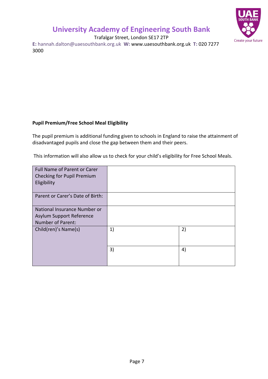

Trafalgar Street, London SE17 2TP

**E:** hannah.dalton@uaesouthbank.org.uk **W:** [www.uaesouthbank.org.uk](http://www.uaesouthbank.org.uk/) **T:** 020 7277 3000

#### **Pupil Premium/Free School Meal Eligibility**

The pupil premium is additional funding given to schools in England to raise the attainment of disadvantaged pupils and close the gap between them and their peers.

This information will also allow us to check for your child's eligibility for Free School Meals.

| <b>Full Name of Parent or Carer</b><br>Checking for Pupil Premium<br>Eligibility |    |    |
|----------------------------------------------------------------------------------|----|----|
| Parent or Carer's Date of Birth:                                                 |    |    |
| National Insurance Number or<br>Asylum Support Reference<br>Number of Parent:    |    |    |
| Child(ren)'s Name(s)                                                             | 1) | 2) |
|                                                                                  | 3) | 4) |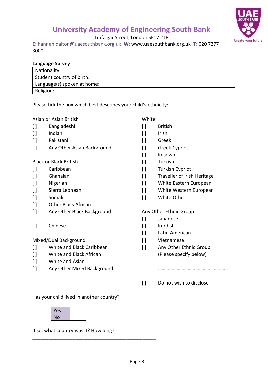

Trafalgar Street, London SE17 2TP

**E:** hannah.dalton@uaesouthbank.org.uk **W:** [www.uaesouthbank.org.uk](http://www.uaesouthbank.org.uk/) **T:** 020 7277 3000

| <b>Language Survey</b>      |  |
|-----------------------------|--|
| Nationality:                |  |
| Student country of birth:   |  |
| Language(s) spoken at home: |  |
| Religion:                   |  |

Please tick the box which best describes your child's ethnicity:

Asian or Asian British

- [ ] Bangladeshi
- [ ] Indian
- [ ] Pakistani
- [ ] Any Other Asian Background

Black or Black British

- [ ] Caribbean
- [ ] Ghanaian
- [ ] Nigerian
- [ ] Sierra Leonean
- [ ] Somali
- [ ] Other Black African
- [ ] Any Other Black Background
- [ ] Chinese

Mixed/Dual Background

- [ ] White and Black Caribbean
- [ ] White and Black African
- [ ] White and Asian
- [ ] Any Other Mixed Background

Has your child lived in another country?

| Yes |  |
|-----|--|
| Nο  |  |

If so, what country was it? How long?

\_\_\_\_\_\_\_\_\_\_\_\_\_\_\_\_\_\_\_\_\_\_\_\_\_\_\_\_\_\_\_\_\_\_\_\_\_\_\_\_\_\_\_\_\_\_

#### White

- [ ] British
- [ ] Irish
- [ ] Greek
- [ ] Greek Cypriot
- [] Kosovan
- [] Turkish
- [ ] Turkish Cypriot
- [] Traveller of Irish Heritage
- [ ] White Eastern European
- [] White Western European
- [] White Other

#### Any Other Ethnic Group

- [] Japanese
- [ ] Kurdish
- [ ] Latin American
- [] Vietnamese
- [ ] Any Other Ethnic Group (Please specify below)

………………………………………………..

[ ] Do not wish to disclose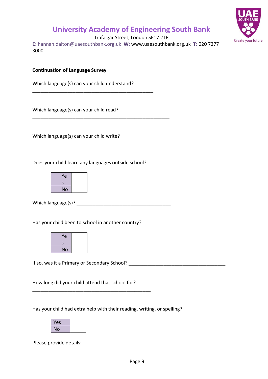

Trafalgar Street, London SE17 2TP

**E:** hannah.dalton@uaesouthbank.org.uk **W:** [www.uaesouthbank.org.uk](http://www.uaesouthbank.org.uk/) **T:** 020 7277 3000

**Continuation of Language Survey**

Which language(s) can your child understand?

\_\_\_\_\_\_\_\_\_\_\_\_\_\_\_\_\_\_\_\_\_\_\_\_\_\_\_\_\_\_\_\_\_\_\_\_\_\_\_\_\_\_\_\_\_

\_\_\_\_\_\_\_\_\_\_\_\_\_\_\_\_\_\_\_\_\_\_\_\_\_\_\_\_\_\_\_\_\_\_\_\_\_\_\_\_\_\_\_\_\_\_\_\_\_\_\_

\_\_\_\_\_\_\_\_\_\_\_\_\_\_\_\_\_\_\_\_\_\_\_\_\_\_\_\_\_\_\_\_\_\_\_\_\_\_\_\_\_\_\_\_\_\_\_\_\_\_

Which language(s) can your child read?

Which language(s) can your child write?

Does your child learn any languages outside school?



Which language(s)?  $\overline{\phantom{a}}$ 

Has your child been to school in another country?

| Ye |  |
|----|--|
| S  |  |
| No |  |

If so, was it a Primary or Secondary School? \_\_\_\_\_\_\_\_\_\_\_\_\_\_\_\_\_\_\_\_\_\_\_\_\_\_\_\_\_\_\_\_\_\_\_\_

How long did your child attend that school for?

\_\_\_\_\_\_\_\_\_\_\_\_\_\_\_\_\_\_\_\_\_\_\_\_\_\_\_\_\_\_\_\_\_\_\_\_\_\_\_\_\_\_\_\_

Has your child had extra help with their reading, writing, or spelling?

| Yes |  |
|-----|--|
| No  |  |

Please provide details: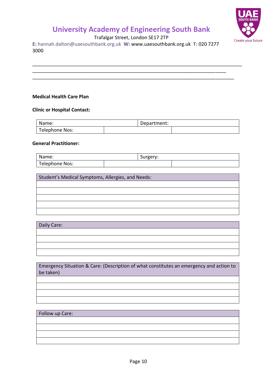

Trafalgar Street, London SE17 2TP

\_\_\_\_\_\_\_\_\_\_\_\_\_\_\_\_\_\_\_\_\_\_\_\_\_\_\_\_\_\_\_\_\_\_\_\_\_\_\_\_\_\_\_\_\_\_\_\_\_\_\_\_\_\_\_\_\_\_\_\_\_\_\_\_\_\_\_\_\_\_\_\_\_\_\_\_\_\_

**E:** hannah.dalton@uaesouthbank.org.uk **W:** [www.uaesouthbank.org.uk](http://www.uaesouthbank.org.uk/) **T:** 020 7277 3000

\_\_\_\_\_\_\_\_\_\_\_\_\_\_\_\_\_\_\_\_\_\_\_\_\_\_\_\_\_\_\_\_\_\_\_\_\_\_\_\_\_\_\_\_\_\_\_\_\_\_\_\_\_\_\_\_\_\_\_\_\_\_\_\_\_\_\_\_\_\_\_\_ \_\_\_\_\_\_\_\_\_\_\_\_\_\_\_\_\_\_\_\_\_\_\_\_\_\_\_\_\_\_\_\_\_\_\_\_\_\_\_\_\_\_\_\_\_\_\_\_\_\_\_\_\_\_\_\_\_\_\_\_\_\_\_\_\_\_\_\_\_\_\_\_\_\_\_

#### **Medical Health Care Plan**

#### **Clinic or Hospital Contact:**

| Name:          | Department: |  |
|----------------|-------------|--|
| Telephone Nos: |             |  |

#### **General Practitioner:**

| Name:          | Surgery: |  |
|----------------|----------|--|
| Telephone Nos: |          |  |

Student's Medical Symptoms, Allergies, and Needs:

| Daily Care: |  |  |  |
|-------------|--|--|--|
|             |  |  |  |
|             |  |  |  |
|             |  |  |  |
|             |  |  |  |

Emergency Situation & Care: (Description of what constitutes an emergency and action to be taken)

#### Follow up Care: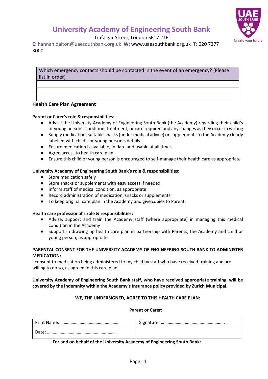



Trafalgar Street, London SE17 2TP

**E:** hannah.dalton@uaesouthbank.org.uk **W:** [www.uaesouthbank.org.uk](http://www.uaesouthbank.org.uk/) **T:** 020 7277 3000

Which emergency contacts should be contacted in the event of an emergency? (Please list in order)

#### **Health Care Plan Agreement**

#### **Parent or Carer's role & responsibilities:**

- Advise the University Academy of Engineering South Bank (the Academy) regarding their child's or young person's condition, treatment, or care required and any changes as they occur in writing
- Supply medication, suitable snacks (under medical advice) or supplements to the Academy clearly labelled with child's or young person's details
- Ensure medication is available, in date and usable at all times
- Agree access to health care plan
- Ensure this child or young person is encouraged to self-manage their health care as appropriate

#### **University Academy of Engineering South Bank's role & responsibilities:**

- Store medication safely
- Store snacks or supplements with easy access if needed
- Inform staff of medical condition, as appropriate
- Record administration of medication, snacks or supplements
- To keep original care plan in the Academy and give copies to Parent.

#### **Health care professional's role & responsibilities:**

- Advise, support and train the Academy staff (where appropriate) in managing this medical condition in the Academy
- Support in drawing up health care plan in partnership with Parents, the Academy and child or young person, as appropriate

#### **PARENTAL CONSENT FOR THE UNIVERSITY ACADEMY OF ENGINEERING SOUTH BANK TO ADMINISTER MEDICATION:**

I consent to medication being administered to my child by staff who have received training and are willing to do so, as agreed in this care plan.

#### **University Academy of Engineering South Bank staff, who have received appropriate training, will be covered by the indemnity within the Academy's Insurance policy provided by Zurich Municipal.**

#### **WE, THE UNDERSIGNED, AGREE TO THIS HEALTH CARE PLAN:**

#### **Parent or Carer:**

| Date: |  |
|-------|--|

**For and on behalf of the University Academy of Engineering South Bank:**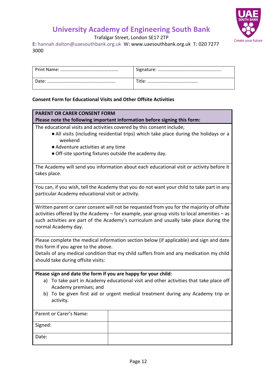

Trafalgar Street, London SE17 2TP

**E:** hannah.dalton@uaesouthbank.org.uk **W:** [www.uaesouthbank.org.uk](http://www.uaesouthbank.org.uk/) **T:** 020 7277 3000

| Date: | Title |
|-------|-------|
|       |       |

#### **Consent Form for Educational Visits and Other Offsite Activities**

#### **PARENT OR CARER CONSENT FORM**

#### **Please note the following important information before signing this form:**

The educational visits and activities covered by this consent include;

- ●All visits (including residential trips) which take place during the holidays or a weekend
- ●Adventure activities at any time
- ●Off-site sporting fixtures outside the academy day.

The Academy will send you information about each educational visit or activity before it takes place.

You can, if you wish, tell the Academy that you do not want your child to take part in any particular Academy educational visit or activity.

Written parent or carer consent will not be requested from you for the majority of offsite activities offered by the Academy – for example, year-group visits to local amenities – as such activities are part of the Academy's curriculum and usually take place during the normal Academy day.

Please complete the medical information section below (if applicable) and sign and date this form if you agree to the above.

Details of any medical condition that my child suffers from and any medication my child should take during offsite visits:

#### **Please sign and date the form if you are happy for your child:**

- a) To take part in Academy educational visit and other activities that take place off Academy premises; and
- b) To be given first aid or urgent medical treatment during any Academy trip or activity.

| Parent or Carer's Name: |  |
|-------------------------|--|
| Signed:                 |  |
| Date:                   |  |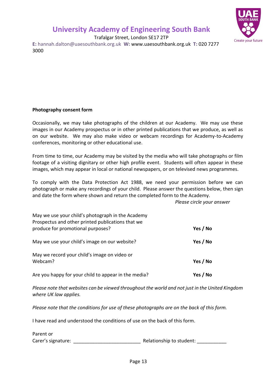

Trafalgar Street, London SE17 2TP

**E:** hannah.dalton@uaesouthbank.org.uk **W:** [www.uaesouthbank.org.uk](http://www.uaesouthbank.org.uk/) **T:** 020 7277 3000

#### **Photography consent form**

Occasionally, we may take photographs of the children at our Academy. We may use these images in our Academy prospectus or in other printed publications that we produce, as well as on our website. We may also make video or webcam recordings for Academy-to-Academy conferences, monitoring or other educational use.

From time to time, our Academy may be visited by the media who will take photographs or film footage of a visiting dignitary or other high profile event. Students will often appear in these images, which may appear in local or national newspapers, or on televised news programmes.

To comply with the Data Protection Act 1988, we need your permission before we can photograph or make any recordings of your child. Please answer the questions below, then sign and date the form where shown and return the completed form to the Academy.

*Please circle your answer*

| May we use your child's photograph in the Academy<br>Prospectus and other printed publications that we |          |
|--------------------------------------------------------------------------------------------------------|----------|
| produce for promotional purposes?                                                                      | Yes / No |
| May we use your child's image on our website?                                                          | Yes / No |
| May we record your child's image on video or<br>Webcam?                                                | Yes / No |
| Are you happy for your child to appear in the media?                                                   | Yes / No |

*Please note that websites can be viewed throughout the world and not just in the United Kingdom where UK law applies.*

*Please note that the conditions for use of these photographs are on the back of this form.*

I have read and understood the conditions of use on the back of this form.

Parent or Carer's signature: etc. The student of the Relationship to student:  $\blacksquare$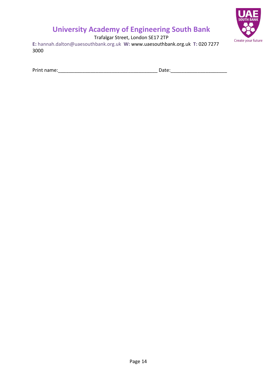

Trafalgar Street, London SE17 2TP

**E:** hannah.dalton@uaesouthbank.org.uk **W:** [www.uaesouthbank.org.uk](http://www.uaesouthbank.org.uk/) **T:** 020 7277 3000

Print name:\_\_\_\_\_\_\_\_\_\_\_\_\_\_\_\_\_\_\_\_\_\_\_\_\_\_\_\_\_\_\_\_\_\_\_\_\_ Date:\_\_\_\_\_\_\_\_\_\_\_\_\_\_\_\_\_\_\_\_\_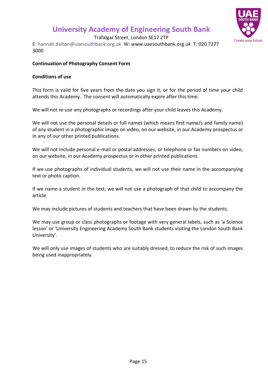

Trafalgar Street, London SE17 2TP

**E:** hannah.dalton@uaesouthbank.org.uk **W:** [www.uaesouthbank.org.uk](http://www.uaesouthbank.org.uk/) **T:** 020 7277 3000

#### **Continuation of Photography Consent Form**

#### **Conditions of use**

This form is valid for five years from the date you sign it, or for the period of time your child attends this Academy. The consent will automatically expire after this time.

We will not re-use any photographs or recordings after your child leaves this Academy.

We will not use the personal details or full names (which means first name/s and family name) of any student in a photographic image on video, on our website, in our Academy prospectus or in any of our other printed publications.

We will not include personal e-mail or postal addresses, or telephone or fax numbers on video, on our website, in our Academy prospectus or in other printed publications.

If we use photographs of individual students, we will not use their name in the accompanying text or photo caption.

If we name a student in the text, we will not use a photograph of that child to accompany the article.

We may include pictures of students and teachers that have been drawn by the students.

We may use group or class photographs or footage with very general labels, such as 'a Science lesson' or 'University Engineering Academy South Bank students visiting the London South Bank University'.

We will only use images of students who are suitably dressed, to reduce the risk of such images being used inappropriately.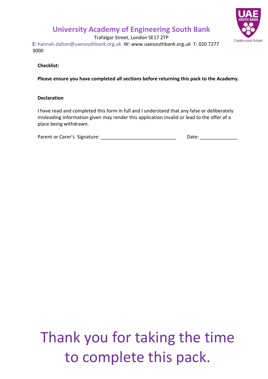

Trafalgar Street, London SE17 2TP

**E:** hannah.dalton@uaesouthbank.org.uk **W:** [www.uaesouthbank.org.uk](http://www.uaesouthbank.org.uk/) **T:** 020 7277 3000

**Checklist:**

**Please ensure you have completed all sections before returning this pack to the Academy.**

#### **Declaration**

I have read and completed this form in full and I understand that any false or deliberately misleading information given may render this application invalid or lead to the offer of a place being withdrawn.

| Parent or Carer's Signature: |  | Date: |  |
|------------------------------|--|-------|--|
|                              |  |       |  |

## to complete this pack. Thank you for taking the time